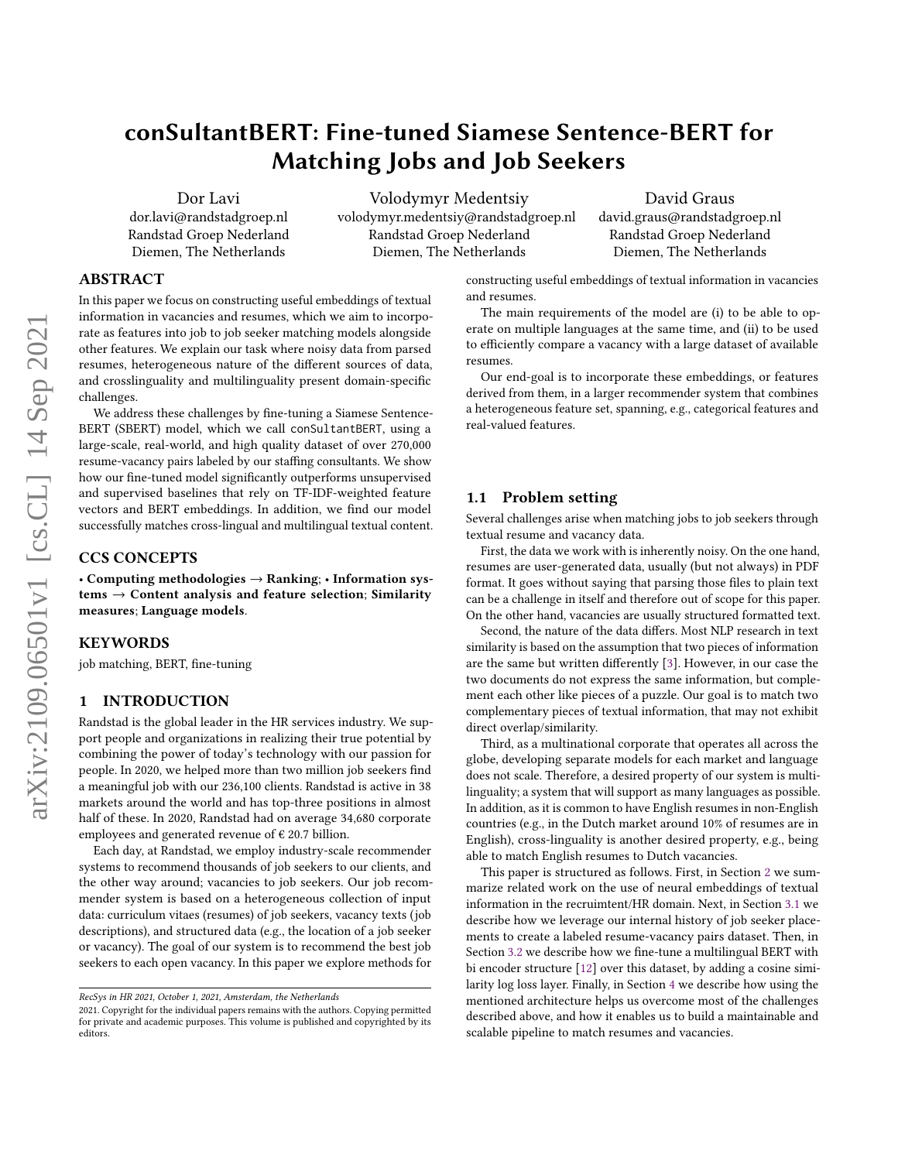# conSultantBERT: Fine-tuned Siamese Sentence-BERT for Matching Jobs and Job Seekers

Dor Lavi dor.lavi@randstadgroep.nl Randstad Groep Nederland Diemen, The Netherlands

Volodymyr Medentsiy volodymyr.medentsiy@randstadgroep.nl Randstad Groep Nederland Diemen, The Netherlands

David Graus david.graus@randstadgroep.nl Randstad Groep Nederland Diemen, The Netherlands

## ABSTRACT

In this paper we focus on constructing useful embeddings of textual information in vacancies and resumes, which we aim to incorporate as features into job to job seeker matching models alongside other features. We explain our task where noisy data from parsed resumes, heterogeneous nature of the different sources of data, and crosslinguality and multilinguality present domain-specific challenges.

We address these challenges by fine-tuning a Siamese Sentence-BERT (SBERT) model, which we call conSultantBERT, using a large-scale, real-world, and high quality dataset of over 270,000 resume-vacancy pairs labeled by our staffing consultants. We show how our fine-tuned model significantly outperforms unsupervised and supervised baselines that rely on TF-IDF-weighted feature vectors and BERT embeddings. In addition, we find our model successfully matches cross-lingual and multilingual textual content.

#### CCS CONCEPTS

• Computing methodologies → Ranking; • Information sys $tems \rightarrow Content$  analysis and feature selection; Similarity measures; Language models.

## **KEYWORDS**

job matching, BERT, fine-tuning

## 1 INTRODUCTION

Randstad is the global leader in the HR services industry. We support people and organizations in realizing their true potential by combining the power of today's technology with our passion for people. In 2020, we helped more than two million job seekers find a meaningful job with our 236,100 clients. Randstad is active in 38 markets around the world and has top-three positions in almost half of these. In 2020, Randstad had on average 34,680 corporate employees and generated revenue of  $\epsilon$  20.7 billion.

Each day, at Randstad, we employ industry-scale recommender systems to recommend thousands of job seekers to our clients, and the other way around; vacancies to job seekers. Our job recommender system is based on a heterogeneous collection of input data: curriculum vitaes (resumes) of job seekers, vacancy texts (job descriptions), and structured data (e.g., the location of a job seeker or vacancy). The goal of our system is to recommend the best job seekers to each open vacancy. In this paper we explore methods for

constructing useful embeddings of textual information in vacancies and resumes.

The main requirements of the model are (i) to be able to operate on multiple languages at the same time, and (ii) to be used to efficiently compare a vacancy with a large dataset of available resumes.

Our end-goal is to incorporate these embeddings, or features derived from them, in a larger recommender system that combines a heterogeneous feature set, spanning, e.g., categorical features and real-valued features.

#### <span id="page-0-0"></span>1.1 Problem setting

Several challenges arise when matching jobs to job seekers through textual resume and vacancy data.

First, the data we work with is inherently noisy. On the one hand, resumes are user-generated data, usually (but not always) in PDF format. It goes without saying that parsing those files to plain text can be a challenge in itself and therefore out of scope for this paper. On the other hand, vacancies are usually structured formatted text.

Second, the nature of the data differs. Most NLP research in text similarity is based on the assumption that two pieces of information are the same but written differently [\[3\]](#page-7-0). However, in our case the two documents do not express the same information, but complement each other like pieces of a puzzle. Our goal is to match two complementary pieces of textual information, that may not exhibit direct overlap/similarity.

Third, as a multinational corporate that operates all across the globe, developing separate models for each market and language does not scale. Therefore, a desired property of our system is multilinguality; a system that will support as many languages as possible. In addition, as it is common to have English resumes in non-English countries (e.g., in the Dutch market around 10% of resumes are in English), cross-linguality is another desired property, e.g., being able to match English resumes to Dutch vacancies.

This paper is structured as follows. First, in Section [2](#page-1-0) we summarize related work on the use of neural embeddings of textual information in the recruimtent/HR domain. Next, in Section [3.1](#page-1-1) we describe how we leverage our internal history of job seeker placements to create a labeled resume-vacancy pairs dataset. Then, in Section [3.2](#page-2-0) we describe how we fine-tune a multilingual BERT with bi encoder structure [\[12\]](#page-7-1) over this dataset, by adding a cosine similarity log loss layer. Finally, in Section [4](#page-2-1) we describe how using the mentioned architecture helps us overcome most of the challenges described above, and how it enables us to build a maintainable and scalable pipeline to match resumes and vacancies.

RecSys in HR 2021, October 1, 2021, Amsterdam, the Netherlands

<sup>2021.</sup> Copyright for the individual papers remains with the authors. Copying permitted for private and academic purposes. This volume is published and copyrighted by its editors.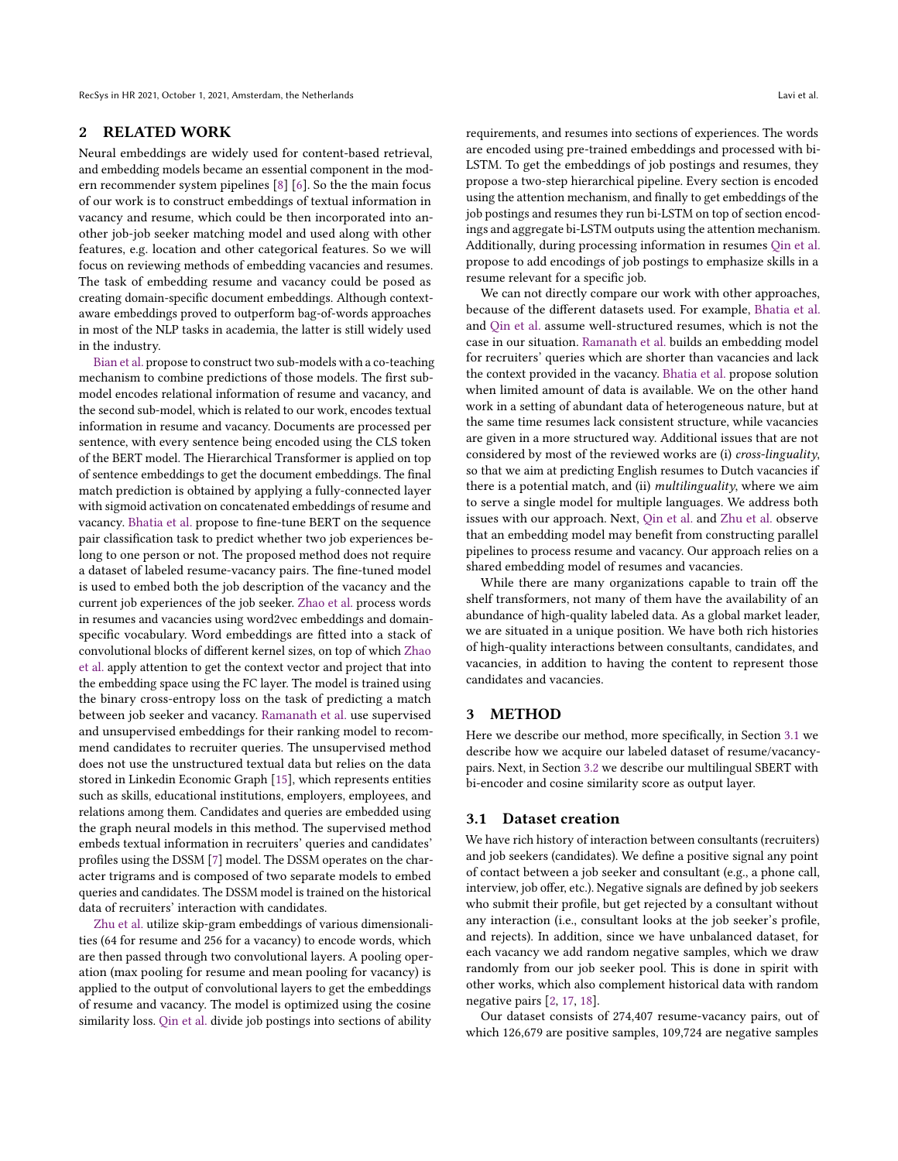## <span id="page-1-0"></span>2 RELATED WORK

Neural embeddings are widely used for content-based retrieval, and embedding models became an essential component in the modern recommender system pipelines [\[8\]](#page-7-2) [\[6\]](#page-7-3). So the the main focus of our work is to construct embeddings of textual information in vacancy and resume, which could be then incorporated into another job-job seeker matching model and used along with other features, e.g. location and other categorical features. So we will focus on reviewing methods of embedding vacancies and resumes. The task of embedding resume and vacancy could be posed as creating domain-specific document embeddings. Although contextaware embeddings proved to outperform bag-of-words approaches in most of the NLP tasks in academia, the latter is still widely used in the industry.

[Bian et al.](#page-7-4) propose to construct two sub-models with a co-teaching mechanism to combine predictions of those models. The first submodel encodes relational information of resume and vacancy, and the second sub-model, which is related to our work, encodes textual information in resume and vacancy. Documents are processed per sentence, with every sentence being encoded using the CLS token of the BERT model. The Hierarchical Transformer is applied on top of sentence embeddings to get the document embeddings. The final match prediction is obtained by applying a fully-connected layer with sigmoid activation on concatenated embeddings of resume and vacancy. [Bhatia et al.](#page-7-5) propose to fine-tune BERT on the sequence pair classification task to predict whether two job experiences belong to one person or not. The proposed method does not require a dataset of labeled resume-vacancy pairs. The fine-tuned model is used to embed both the job description of the vacancy and the current job experiences of the job seeker. [Zhao et al.](#page-7-6) process words in resumes and vacancies using word2vec embeddings and domainspecific vocabulary. Word embeddings are fitted into a stack of convolutional blocks of different kernel sizes, on top of which [Zhao](#page-7-6) [et al.](#page-7-6) apply attention to get the context vector and project that into the embedding space using the FC layer. The model is trained using the binary cross-entropy loss on the task of predicting a match between job seeker and vacancy. [Ramanath et al.](#page-7-7) use supervised and unsupervised embeddings for their ranking model to recommend candidates to recruiter queries. The unsupervised method does not use the unstructured textual data but relies on the data stored in Linkedin Economic Graph [\[15\]](#page-7-8), which represents entities such as skills, educational institutions, employers, employees, and relations among them. Candidates and queries are embedded using the graph neural models in this method. The supervised method embeds textual information in recruiters' queries and candidates' profiles using the DSSM [\[7\]](#page-7-9) model. The DSSM operates on the character trigrams and is composed of two separate models to embed queries and candidates. The DSSM model is trained on the historical data of recruiters' interaction with candidates.

[Zhu et al.](#page-7-10) utilize skip-gram embeddings of various dimensionalities (64 for resume and 256 for a vacancy) to encode words, which are then passed through two convolutional layers. A pooling operation (max pooling for resume and mean pooling for vacancy) is applied to the output of convolutional layers to get the embeddings of resume and vacancy. The model is optimized using the cosine similarity loss. [Qin et al.](#page-7-11) divide job postings into sections of ability

requirements, and resumes into sections of experiences. The words are encoded using pre-trained embeddings and processed with bi-LSTM. To get the embeddings of job postings and resumes, they propose a two-step hierarchical pipeline. Every section is encoded using the attention mechanism, and finally to get embeddings of the job postings and resumes they run bi-LSTM on top of section encodings and aggregate bi-LSTM outputs using the attention mechanism. Additionally, during processing information in resumes [Qin et al.](#page-7-11) propose to add encodings of job postings to emphasize skills in a resume relevant for a specific job.

We can not directly compare our work with other approaches, because of the different datasets used. For example, [Bhatia et al.](#page-7-5) and [Qin et al.](#page-7-11) assume well-structured resumes, which is not the case in our situation. [Ramanath et al.](#page-7-7) builds an embedding model for recruiters' queries which are shorter than vacancies and lack the context provided in the vacancy. [Bhatia et al.](#page-7-5) propose solution when limited amount of data is available. We on the other hand work in a setting of abundant data of heterogeneous nature, but at the same time resumes lack consistent structure, while vacancies are given in a more structured way. Additional issues that are not considered by most of the reviewed works are (i) cross-linguality, so that we aim at predicting English resumes to Dutch vacancies if there is a potential match, and (ii) *multilinguality*, where we aim to serve a single model for multiple languages. We address both issues with our approach. Next, [Qin et al.](#page-7-11) and [Zhu et al.](#page-7-10) observe that an embedding model may benefit from constructing parallel pipelines to process resume and vacancy. Our approach relies on a shared embedding model of resumes and vacancies.

While there are many organizations capable to train off the shelf transformers, not many of them have the availability of an abundance of high-quality labeled data. As a global market leader, we are situated in a unique position. We have both rich histories of high-quality interactions between consultants, candidates, and vacancies, in addition to having the content to represent those candidates and vacancies.

#### 3 METHOD

Here we describe our method, more specifically, in Section [3.1](#page-1-1) we describe how we acquire our labeled dataset of resume/vacancypairs. Next, in Section [3.2](#page-2-0) we describe our multilingual SBERT with bi-encoder and cosine similarity score as output layer.

#### <span id="page-1-1"></span>3.1 Dataset creation

We have rich history of interaction between consultants (recruiters) and job seekers (candidates). We define a positive signal any point of contact between a job seeker and consultant (e.g., a phone call, interview, job offer, etc.). Negative signals are defined by job seekers who submit their profile, but get rejected by a consultant without any interaction (i.e., consultant looks at the job seeker's profile, and rejects). In addition, since we have unbalanced dataset, for each vacancy we add random negative samples, which we draw randomly from our job seeker pool. This is done in spirit with other works, which also complement historical data with random negative pairs [\[2,](#page-7-4) [17,](#page-7-6) [18\]](#page-7-10).

Our dataset consists of 274,407 resume-vacancy pairs, out of which 126,679 are positive samples, 109,724 are negative samples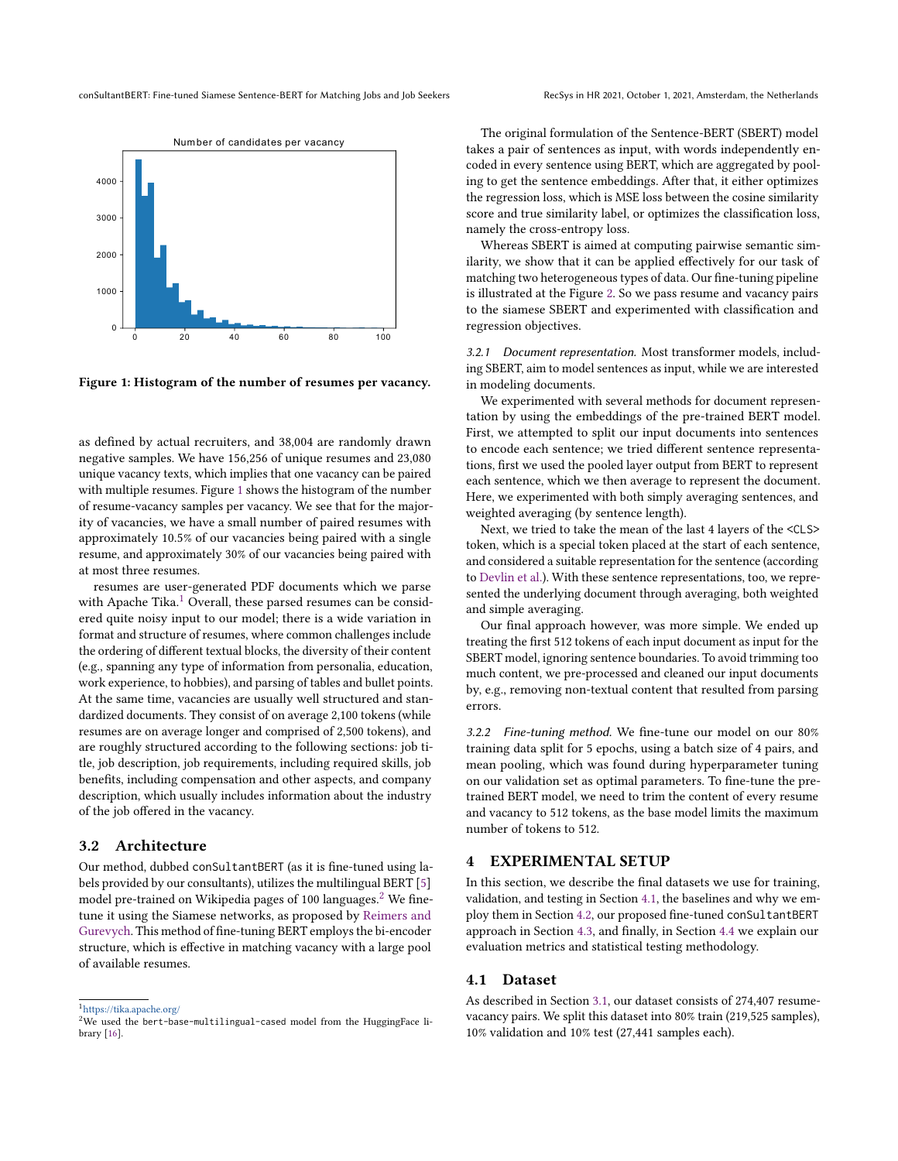<span id="page-2-2"></span>

Figure 1: Histogram of the number of resumes per vacancy.

as defined by actual recruiters, and 38,004 are randomly drawn negative samples. We have 156,256 of unique resumes and 23,080 unique vacancy texts, which implies that one vacancy can be paired with multiple resumes. Figure [1](#page-2-2) shows the histogram of the number of resume-vacancy samples per vacancy. We see that for the majority of vacancies, we have a small number of paired resumes with approximately 10.5% of our vacancies being paired with a single resume, and approximately 30% of our vacancies being paired with at most three resumes.

resumes are user-generated PDF documents which we parse with Apache Tika.<sup>[1](#page-2-3)</sup> Overall, these parsed resumes can be considered quite noisy input to our model; there is a wide variation in format and structure of resumes, where common challenges include the ordering of different textual blocks, the diversity of their content (e.g., spanning any type of information from personalia, education, work experience, to hobbies), and parsing of tables and bullet points. At the same time, vacancies are usually well structured and standardized documents. They consist of on average 2,100 tokens (while resumes are on average longer and comprised of 2,500 tokens), and are roughly structured according to the following sections: job title, job description, job requirements, including required skills, job benefits, including compensation and other aspects, and company description, which usually includes information about the industry of the job offered in the vacancy.

## <span id="page-2-0"></span>3.2 Architecture

Our method, dubbed conSultantBERT (as it is fine-tuned using labels provided by our consultants), utilizes the multilingual BERT [\[5\]](#page-7-12) model pre-trained on Wikipedia pages of 100 languages. $2$  We finetune it using the Siamese networks, as proposed by [Reimers and](#page-7-1) [Gurevych.](#page-7-1) This method of fine-tuning BERT employs the bi-encoder structure, which is effective in matching vacancy with a large pool of available resumes.

The original formulation of the Sentence-BERT (SBERT) model takes a pair of sentences as input, with words independently encoded in every sentence using BERT, which are aggregated by pooling to get the sentence embeddings. After that, it either optimizes the regression loss, which is MSE loss between the cosine similarity score and true similarity label, or optimizes the classification loss, namely the cross-entropy loss.

Whereas SBERT is aimed at computing pairwise semantic similarity, we show that it can be applied effectively for our task of matching two heterogeneous types of data. Our fine-tuning pipeline is illustrated at the Figure [2.](#page-3-0) So we pass resume and vacancy pairs to the siamese SBERT and experimented with classification and regression objectives.

3.2.1 Document representation. Most transformer models, including SBERT, aim to model sentences as input, while we are interested in modeling documents.

We experimented with several methods for document representation by using the embeddings of the pre-trained BERT model. First, we attempted to split our input documents into sentences to encode each sentence; we tried different sentence representations, first we used the pooled layer output from BERT to represent each sentence, which we then average to represent the document. Here, we experimented with both simply averaging sentences, and weighted averaging (by sentence length).

Next, we tried to take the mean of the last 4 layers of the <CLS> token, which is a special token placed at the start of each sentence, and considered a suitable representation for the sentence (according to [Devlin et al.\)](#page-7-12). With these sentence representations, too, we represented the underlying document through averaging, both weighted and simple averaging.

Our final approach however, was more simple. We ended up treating the first 512 tokens of each input document as input for the SBERT model, ignoring sentence boundaries. To avoid trimming too much content, we pre-processed and cleaned our input documents by, e.g., removing non-textual content that resulted from parsing errors.

<span id="page-2-6"></span>3.2.2 Fine-tuning method. We fine-tune our model on our 80% training data split for 5 epochs, using a batch size of 4 pairs, and mean pooling, which was found during hyperparameter tuning on our validation set as optimal parameters. To fine-tune the pretrained BERT model, we need to trim the content of every resume and vacancy to 512 tokens, as the base model limits the maximum number of tokens to 512.

## <span id="page-2-1"></span>4 EXPERIMENTAL SETUP

In this section, we describe the final datasets we use for training, validation, and testing in Section [4.1,](#page-2-5) the baselines and why we employ them in Section [4.2,](#page-3-1) our proposed fine-tuned conSultantBERT approach in Section [4.3,](#page-3-2) and finally, in Section [4.4](#page-4-0) we explain our evaluation metrics and statistical testing methodology.

## <span id="page-2-5"></span>4.1 Dataset

As described in Section [3.1,](#page-1-1) our dataset consists of 274,407 resumevacancy pairs. We split this dataset into 80% train (219,525 samples), 10% validation and 10% test (27,441 samples each).

<span id="page-2-3"></span> $1$ <https://tika.apache.org/>  $\,$ 

<span id="page-2-4"></span><sup>&</sup>lt;sup>2</sup>We used the bert-base-multilingual-cased model from the HuggingFace library [\[16\]](#page-7-13).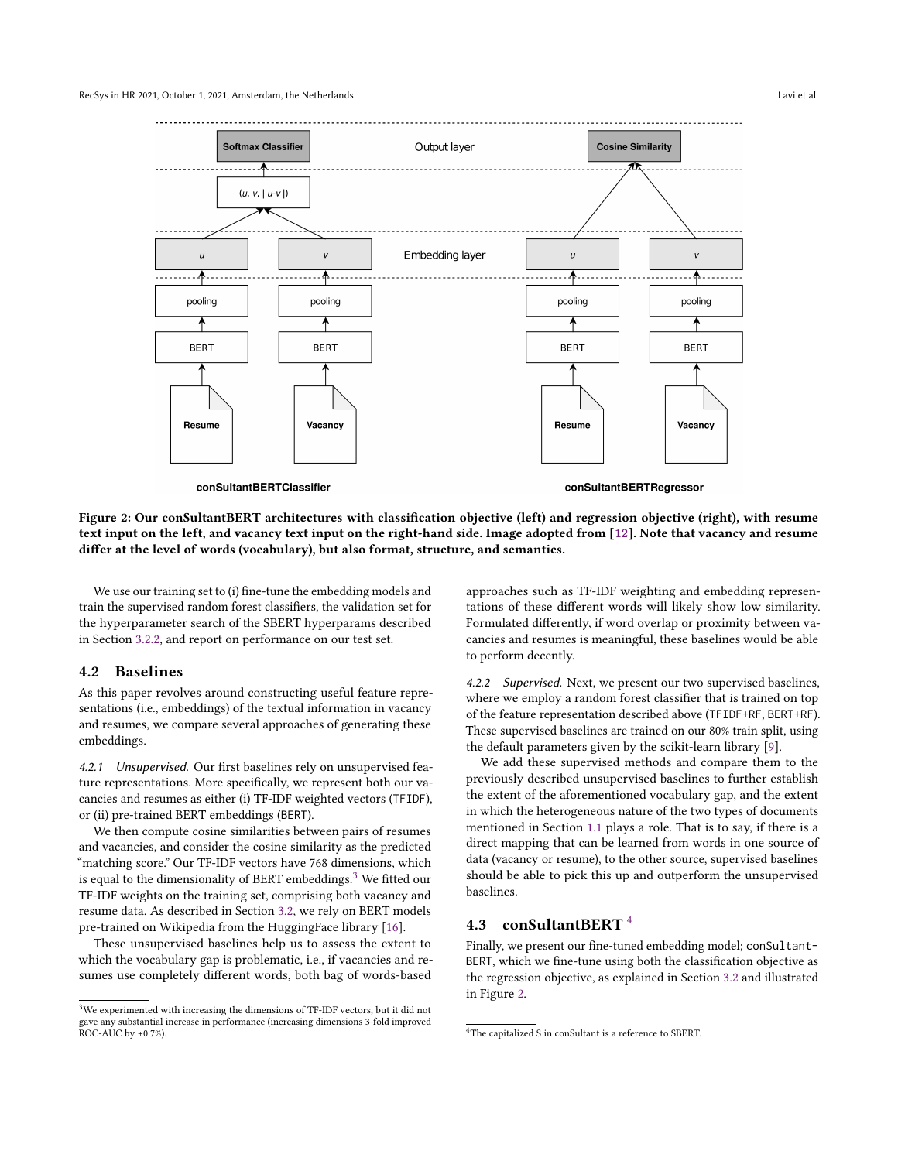#### <span id="page-3-0"></span>RecSys in HR 2021, October 1, 2021, Amsterdam, the Netherlands Lavi et al.



Figure 2: Our conSultantBERT architectures with classification objective (left) and regression objective (right), with resume text input on the left, and vacancy text input on the right-hand side. Image adopted from [\[12\]](#page-7-1). Note that vacancy and resume differ at the level of words (vocabulary), but also format, structure, and semantics.

We use our training set to (i) fine-tune the embedding models and train the supervised random forest classifiers, the validation set for the hyperparameter search of the SBERT hyperparams described in Section [3.2.2,](#page-2-6) and report on performance on our test set.

#### <span id="page-3-1"></span>4.2 Baselines

As this paper revolves around constructing useful feature representations (i.e., embeddings) of the textual information in vacancy and resumes, we compare several approaches of generating these embeddings.

4.2.1 Unsupervised. Our first baselines rely on unsupervised feature representations. More specifically, we represent both our vacancies and resumes as either (i) TF-IDF weighted vectors (TFIDF), or (ii) pre-trained BERT embeddings (BERT).

We then compute cosine similarities between pairs of resumes and vacancies, and consider the cosine similarity as the predicted "matching score." Our TF-IDF vectors have 768 dimensions, which is equal to the dimensionality of BERT embeddings.<sup>[3](#page-3-3)</sup> We fitted our TF-IDF weights on the training set, comprising both vacancy and resume data. As described in Section [3.2,](#page-2-0) we rely on BERT models pre-trained on Wikipedia from the HuggingFace library [\[16\]](#page-7-13).

These unsupervised baselines help us to assess the extent to which the vocabulary gap is problematic, i.e., if vacancies and resumes use completely different words, both bag of words-based

approaches such as TF-IDF weighting and embedding representations of these different words will likely show low similarity. Formulated differently, if word overlap or proximity between vacancies and resumes is meaningful, these baselines would be able to perform decently.

4.2.2 Supervised. Next, we present our two supervised baselines, where we employ a random forest classifier that is trained on top of the feature representation described above (TFIDF+RF, BERT+RF). These supervised baselines are trained on our 80% train split, using the default parameters given by the scikit-learn library [\[9\]](#page-7-14).

We add these supervised methods and compare them to the previously described unsupervised baselines to further establish the extent of the aforementioned vocabulary gap, and the extent in which the heterogeneous nature of the two types of documents mentioned in Section [1.1](#page-0-0) plays a role. That is to say, if there is a direct mapping that can be learned from words in one source of data (vacancy or resume), to the other source, supervised baselines should be able to pick this up and outperform the unsupervised baselines.

### <span id="page-3-2"></span>4.3 conSultantBERT [4](#page-3-4)

Finally, we present our fine-tuned embedding model; conSultant-BERT, which we fine-tune using both the classification objective as the regression objective, as explained in Section [3.2](#page-2-0) and illustrated in Figure [2.](#page-3-0)

<span id="page-3-3"></span><sup>&</sup>lt;sup>3</sup>We experimented with increasing the dimensions of TF-IDF vectors, but it did not gave any substantial increase in performance (increasing dimensions 3-fold improved ROC-AUC by +0.7%).

<span id="page-3-4"></span><sup>4</sup>The capitalized S in conSultant is a reference to SBERT.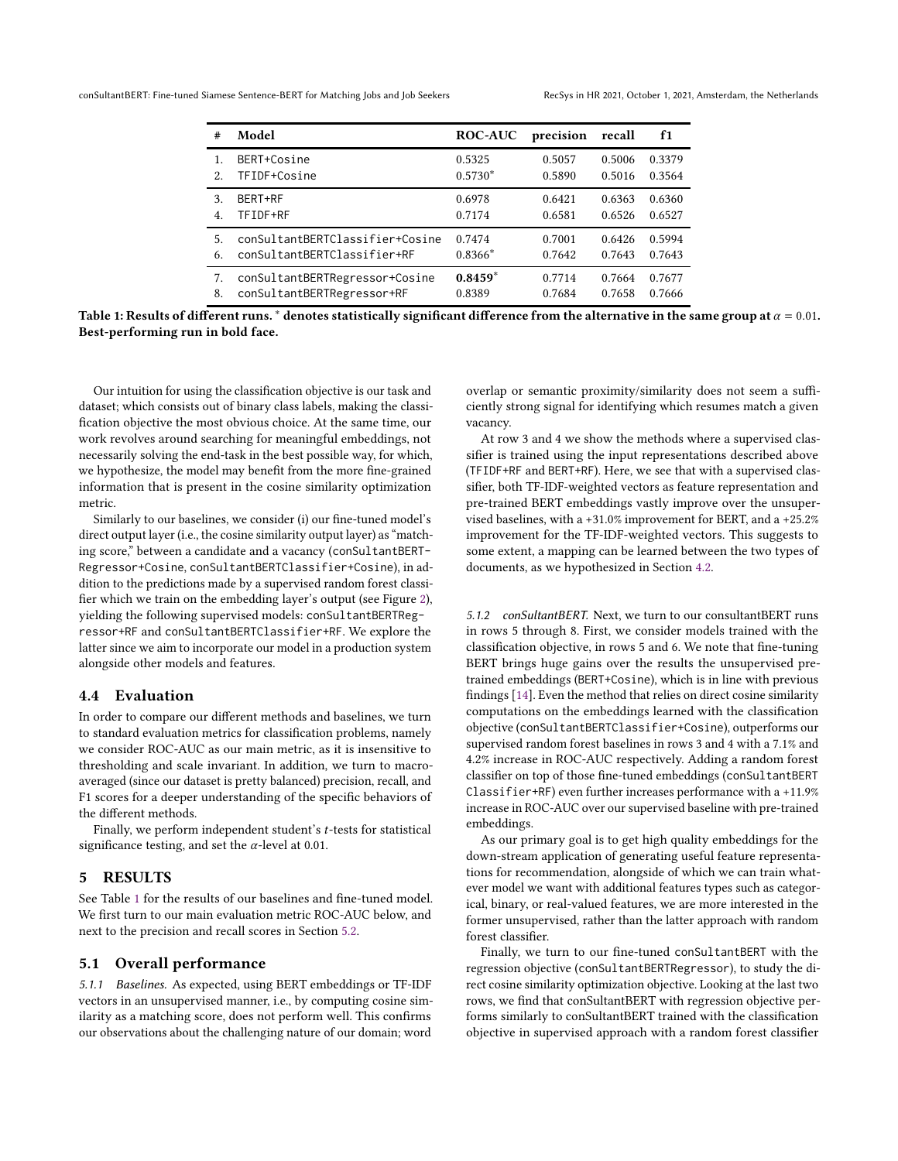<span id="page-4-1"></span>conSultantBERT: Fine-tuned Siamese Sentence-BERT for Matching Jobs and Job Seekers RecSys in HR 2021, October 1, 2021, Amsterdam, the Netherlands

| #              | Model                           | <b>ROC-AUC</b> | precision | recall | f1     |
|----------------|---------------------------------|----------------|-----------|--------|--------|
| 2.             | BERT+Cosine                     | 0.5325         | 0.5057    | 0.5006 | 0.3379 |
|                | TFIDF+Cosine                    | $0.5730*$      | 0.5890    | 0.5016 | 0.3564 |
| 3.             | BERT+RF                         | 0.6978         | 0.6421    | 0.6363 | 0.6360 |
| $\overline{4}$ | TFIDF+RF                        | 0.7174         | 0.6581    | 0.6526 | 0.6527 |
| 5.             | conSultantBERTClassifier+Cosine | 0.7474         | 0.7001    | 0.6426 | 0.5994 |
| 6.             | conSultantBERTClassifier+RF     | $0.8366*$      | 0.7642    | 0.7643 | 0.7643 |
| 7.             | conSultantBERTRegressor+Cosine  | $0.8459*$      | 0.7714    | 0.7664 | 0.7677 |
| 8.             | conSultantBERTRegressor+RF      | 0.8389         | 0.7684    | 0.7658 | 0.7666 |

Table 1: Results of different runs. \* denotes statistically significant difference from the alternative in the same group at  $\alpha = 0.01$ . Best-performing run in bold face.

Our intuition for using the classification objective is our task and dataset; which consists out of binary class labels, making the classification objective the most obvious choice. At the same time, our work revolves around searching for meaningful embeddings, not necessarily solving the end-task in the best possible way, for which, we hypothesize, the model may benefit from the more fine-grained information that is present in the cosine similarity optimization metric.

Similarly to our baselines, we consider (i) our fine-tuned model's direct output layer (i.e., the cosine similarity output layer) as "matching score," between a candidate and a vacancy (conSultantBERT-Regressor+Cosine, conSultantBERTClassifier+Cosine), in addition to the predictions made by a supervised random forest classifier which we train on the embedding layer's output (see Figure [2\)](#page-3-0), yielding the following supervised models: conSultantBERTRegressor+RF and conSultantBERTClassifier+RF. We explore the latter since we aim to incorporate our model in a production system alongside other models and features.

#### <span id="page-4-0"></span>4.4 Evaluation

In order to compare our different methods and baselines, we turn to standard evaluation metrics for classification problems, namely we consider ROC-AUC as our main metric, as it is insensitive to thresholding and scale invariant. In addition, we turn to macroaveraged (since our dataset is pretty balanced) precision, recall, and F1 scores for a deeper understanding of the specific behaviors of the different methods.

Finally, we perform independent student's  $t$ -tests for statistical significance testing, and set the  $\alpha$ -level at 0.01.

#### 5 RESULTS

See Table [1](#page-4-1) for the results of our baselines and fine-tuned model. We first turn to our main evaluation metric ROC-AUC below, and next to the precision and recall scores in Section [5.2.](#page-5-0)

#### <span id="page-4-2"></span>5.1 Overall performance

5.1.1 Baselines. As expected, using BERT embeddings or TF-IDF vectors in an unsupervised manner, i.e., by computing cosine similarity as a matching score, does not perform well. This confirms our observations about the challenging nature of our domain; word

overlap or semantic proximity/similarity does not seem a sufficiently strong signal for identifying which resumes match a given vacancy.

At row 3 and 4 we show the methods where a supervised classifier is trained using the input representations described above (TFIDF+RF and BERT+RF). Here, we see that with a supervised classifier, both TF-IDF-weighted vectors as feature representation and pre-trained BERT embeddings vastly improve over the unsupervised baselines, with a +31.0% improvement for BERT, and a +25.2% improvement for the TF-IDF-weighted vectors. This suggests to some extent, a mapping can be learned between the two types of documents, as we hypothesized in Section [4.2.](#page-3-1)

5.1.2 conSultantBERT. Next, we turn to our consultantBERT runs in rows 5 through 8. First, we consider models trained with the classification objective, in rows 5 and 6. We note that fine-tuning BERT brings huge gains over the results the unsupervised pretrained embeddings (BERT+Cosine), which is in line with previous findings [\[14\]](#page-7-15). Even the method that relies on direct cosine similarity computations on the embeddings learned with the classification objective (conSultantBERTClassifier+Cosine), outperforms our supervised random forest baselines in rows 3 and 4 with a 7.1% and 4.2% increase in ROC-AUC respectively. Adding a random forest classifier on top of those fine-tuned embeddings (conSultantBERT Classifier+RF) even further increases performance with a +11.9% increase in ROC-AUC over our supervised baseline with pre-trained embeddings.

As our primary goal is to get high quality embeddings for the down-stream application of generating useful feature representations for recommendation, alongside of which we can train whatever model we want with additional features types such as categorical, binary, or real-valued features, we are more interested in the former unsupervised, rather than the latter approach with random forest classifier.

Finally, we turn to our fine-tuned conSultantBERT with the regression objective (conSultantBERTRegressor), to study the direct cosine similarity optimization objective. Looking at the last two rows, we find that conSultantBERT with regression objective performs similarly to conSultantBERT trained with the classification objective in supervised approach with a random forest classifier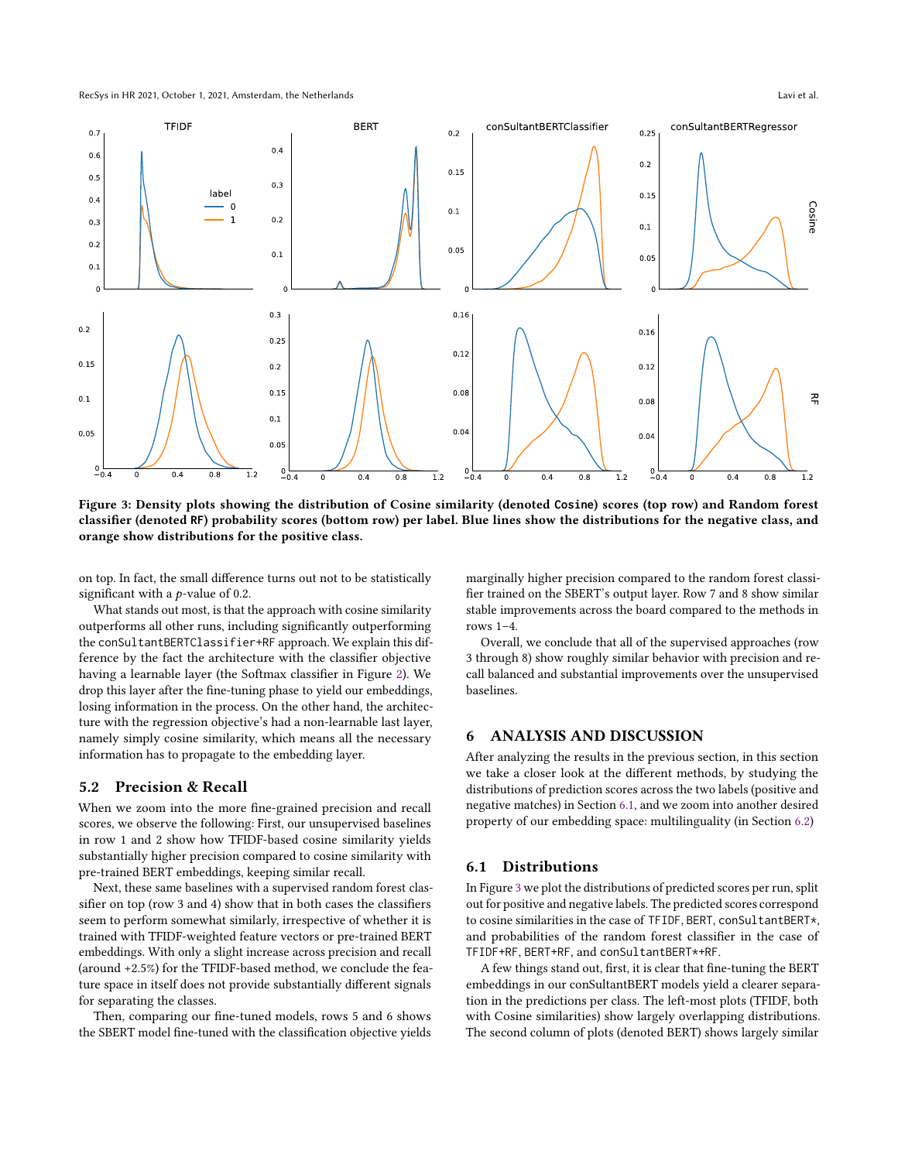<span id="page-5-2"></span>

Figure 3: Density plots showing the distribution of Cosine similarity (denoted **Cosine**) scores (top row) and Random forest classifier (denoted **RF**) probability scores (bottom row) per label. Blue lines show the distributions for the negative class, and orange show distributions for the positive class.

on top. In fact, the small difference turns out not to be statistically significant with a  $p$ -value of 0.2.

What stands out most, is that the approach with cosine similarity outperforms all other runs, including significantly outperforming the conSultantBERTClassifier+RF approach. We explain this difference by the fact the architecture with the classifier objective having a learnable layer (the Softmax classifier in Figure [2\)](#page-3-0). We drop this layer after the fine-tuning phase to yield our embeddings, losing information in the process. On the other hand, the architecture with the regression objective's had a non-learnable last layer, namely simply cosine similarity, which means all the necessary information has to propagate to the embedding layer.

## <span id="page-5-0"></span>5.2 Precision & Recall

When we zoom into the more fine-grained precision and recall scores, we observe the following: First, our unsupervised baselines in row 1 and 2 show how TFIDF-based cosine similarity yields substantially higher precision compared to cosine similarity with pre-trained BERT embeddings, keeping similar recall.

Next, these same baselines with a supervised random forest classifier on top (row 3 and 4) show that in both cases the classifiers seem to perform somewhat similarly, irrespective of whether it is trained with TFIDF-weighted feature vectors or pre-trained BERT embeddings. With only a slight increase across precision and recall (around +2.5%) for the TFIDF-based method, we conclude the feature space in itself does not provide substantially different signals for separating the classes.

Then, comparing our fine-tuned models, rows 5 and 6 shows the SBERT model fine-tuned with the classification objective yields

marginally higher precision compared to the random forest classifier trained on the SBERT's output layer. Row 7 and 8 show similar stable improvements across the board compared to the methods in rows  $1-4$ 

Overall, we conclude that all of the supervised approaches (row 3 through 8) show roughly similar behavior with precision and recall balanced and substantial improvements over the unsupervised baselines.

## 6 ANALYSIS AND DISCUSSION

After analyzing the results in the previous section, in this section we take a closer look at the different methods, by studying the distributions of prediction scores across the two labels (positive and negative matches) in Section [6.1,](#page-5-1) and we zoom into another desired property of our embedding space: multilinguality (in Section [6.2\)](#page-6-0)

### <span id="page-5-1"></span>6.1 Distributions

In Figure [3](#page-5-2) we plot the distributions of predicted scores per run, split out for positive and negative labels. The predicted scores correspond to cosine similarities in the case of TFIDF, BERT, conSultantBERT\*, and probabilities of the random forest classifier in the case of TFIDF+RF, BERT+RF, and conSultantBERT\*+RF.

A few things stand out, first, it is clear that fine-tuning the BERT embeddings in our conSultantBERT models yield a clearer separation in the predictions per class. The left-most plots (TFIDF, both with Cosine similarities) show largely overlapping distributions. The second column of plots (denoted BERT) shows largely similar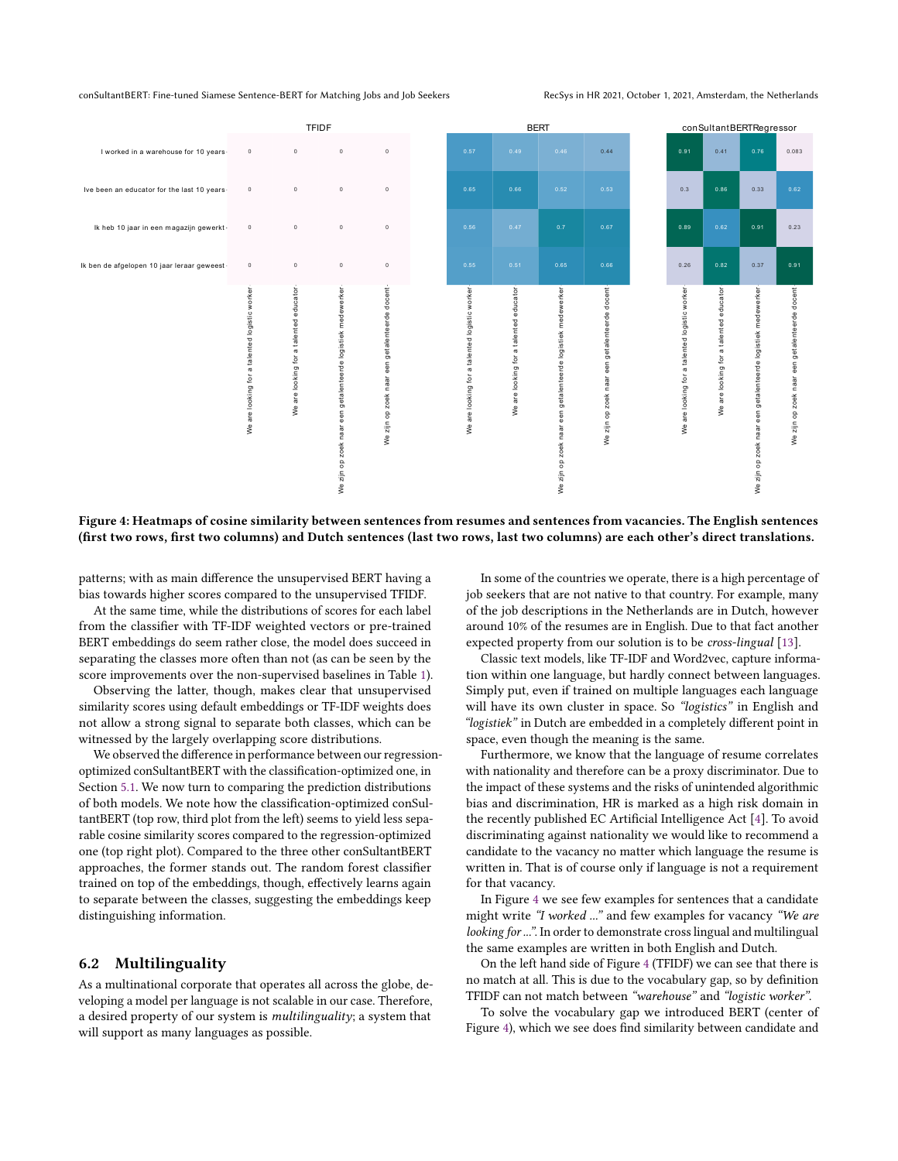<span id="page-6-1"></span>

Figure 4: Heatmaps of cosine similarity between sentences from resumes and sentences from vacancies. The English sentences (first two rows, first two columns) and Dutch sentences (last two rows, last two columns) are each other's direct translations.

patterns; with as main difference the unsupervised BERT having a bias towards higher scores compared to the unsupervised TFIDF.

At the same time, while the distributions of scores for each label from the classifier with TF-IDF weighted vectors or pre-trained BERT embeddings do seem rather close, the model does succeed in separating the classes more often than not (as can be seen by the score improvements over the non-supervised baselines in Table [1\)](#page-4-1).

Observing the latter, though, makes clear that unsupervised similarity scores using default embeddings or TF-IDF weights does not allow a strong signal to separate both classes, which can be witnessed by the largely overlapping score distributions.

We observed the difference in performance between our regressionoptimized conSultantBERT with the classification-optimized one, in Section [5.1.](#page-4-2) We now turn to comparing the prediction distributions of both models. We note how the classification-optimized conSultantBERT (top row, third plot from the left) seems to yield less separable cosine similarity scores compared to the regression-optimized one (top right plot). Compared to the three other conSultantBERT approaches, the former stands out. The random forest classifier trained on top of the embeddings, though, effectively learns again to separate between the classes, suggesting the embeddings keep distinguishing information.

#### <span id="page-6-0"></span>6.2 Multilinguality

As a multinational corporate that operates all across the globe, developing a model per language is not scalable in our case. Therefore, a desired property of our system is multilinguality; a system that will support as many languages as possible.

In some of the countries we operate, there is a high percentage of job seekers that are not native to that country. For example, many of the job descriptions in the Netherlands are in Dutch, however around 10% of the resumes are in English. Due to that fact another expected property from our solution is to be cross-lingual [\[13\]](#page-7-16).

Classic text models, like TF-IDF and Word2vec, capture information within one language, but hardly connect between languages. Simply put, even if trained on multiple languages each language will have its own cluster in space. So "logistics" in English and "logistiek" in Dutch are embedded in a completely different point in space, even though the meaning is the same.

Furthermore, we know that the language of resume correlates with nationality and therefore can be a proxy discriminator. Due to the impact of these systems and the risks of unintended algorithmic bias and discrimination, HR is marked as a high risk domain in the recently published EC Artificial Intelligence Act [\[4\]](#page-7-17). To avoid discriminating against nationality we would like to recommend a candidate to the vacancy no matter which language the resume is written in. That is of course only if language is not a requirement for that vacancy.

In Figure [4](#page-6-1) we see few examples for sentences that a candidate might write "I worked ..." and few examples for vacancy "We are looking for ...". In order to demonstrate cross lingual and multilingual the same examples are written in both English and Dutch.

On the left hand side of Figure [4](#page-6-1) (TFIDF) we can see that there is no match at all. This is due to the vocabulary gap, so by definition TFIDF can not match between "warehouse" and "logistic worker".

To solve the vocabulary gap we introduced BERT (center of Figure [4\)](#page-6-1), which we see does find similarity between candidate and